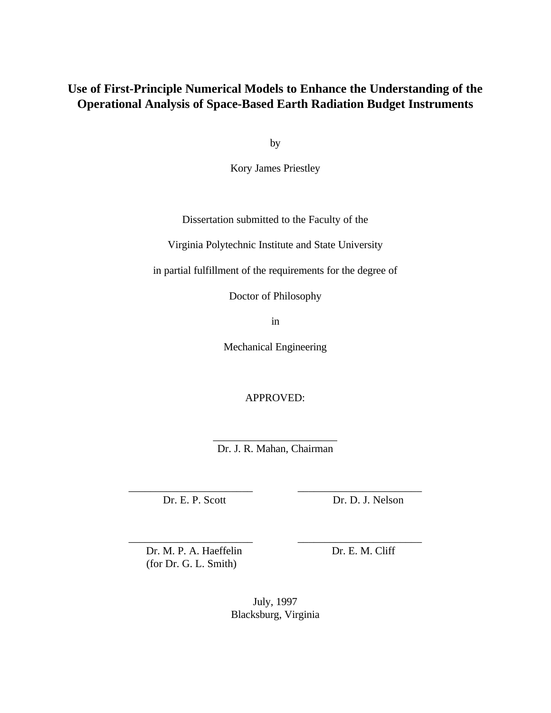## **Use of First-Principle Numerical Models to Enhance the Understanding of the Operational Analysis of Space-Based Earth Radiation Budget Instruments**

by

Kory James Priestley

Dissertation submitted to the Faculty of the

Virginia Polytechnic Institute and State University

in partial fulfillment of the requirements for the degree of

Doctor of Philosophy

in

Mechanical Engineering

APPROVED:

\_\_\_\_\_\_\_\_\_\_\_\_\_\_\_\_\_\_\_\_\_\_\_ Dr. J. R. Mahan, Chairman

\_\_\_\_\_\_\_\_\_\_\_\_\_\_\_\_\_\_\_\_\_\_\_ \_\_\_\_\_\_\_\_\_\_\_\_\_\_\_\_\_\_\_\_\_\_\_

\_\_\_\_\_\_\_\_\_\_\_\_\_\_\_\_\_\_\_\_\_\_\_ \_\_\_\_\_\_\_\_\_\_\_\_\_\_\_\_\_\_\_\_\_\_\_

Dr. E. P. Scott Dr. D. J. Nelson

Dr. M. P. A. Haeffelin Dr. E. M. Cliff (for Dr. G. L. Smith)

July, 1997 Blacksburg, Virginia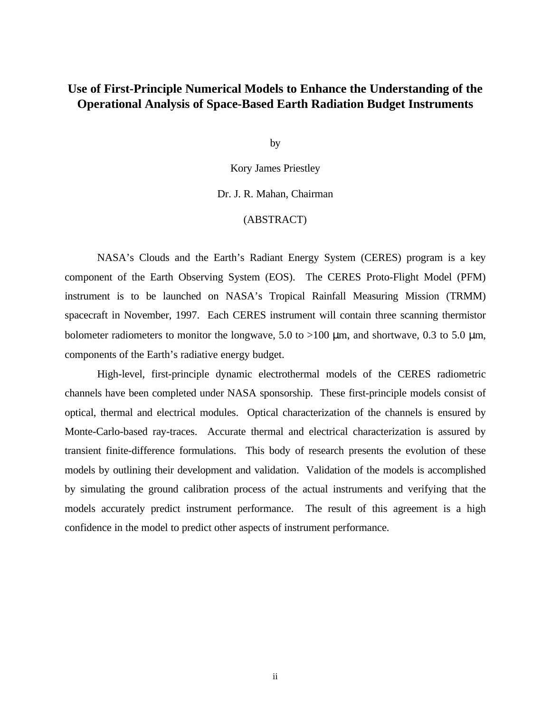## **Use of First-Principle Numerical Models to Enhance the Understanding of the Operational Analysis of Space-Based Earth Radiation Budget Instruments**

by

Kory James Priestley

Dr. J. R. Mahan, Chairman

## (ABSTRACT)

NASA's Clouds and the Earth's Radiant Energy System (CERES) program is a key component of the Earth Observing System (EOS). The CERES Proto-Flight Model (PFM) instrument is to be launched on NASA's Tropical Rainfall Measuring Mission (TRMM) spacecraft in November, 1997. Each CERES instrument will contain three scanning thermistor bolometer radiometers to monitor the longwave, 5.0 to >100 μm, and shortwave, 0.3 to 5.0 μm, components of the Earth's radiative energy budget.

High-level, first-principle dynamic electrothermal models of the CERES radiometric channels have been completed under NASA sponsorship. These first-principle models consist of optical, thermal and electrical modules. Optical characterization of the channels is ensured by Monte-Carlo-based ray-traces. Accurate thermal and electrical characterization is assured by transient finite-difference formulations. This body of research presents the evolution of these models by outlining their development and validation. Validation of the models is accomplished by simulating the ground calibration process of the actual instruments and verifying that the models accurately predict instrument performance. The result of this agreement is a high confidence in the model to predict other aspects of instrument performance.